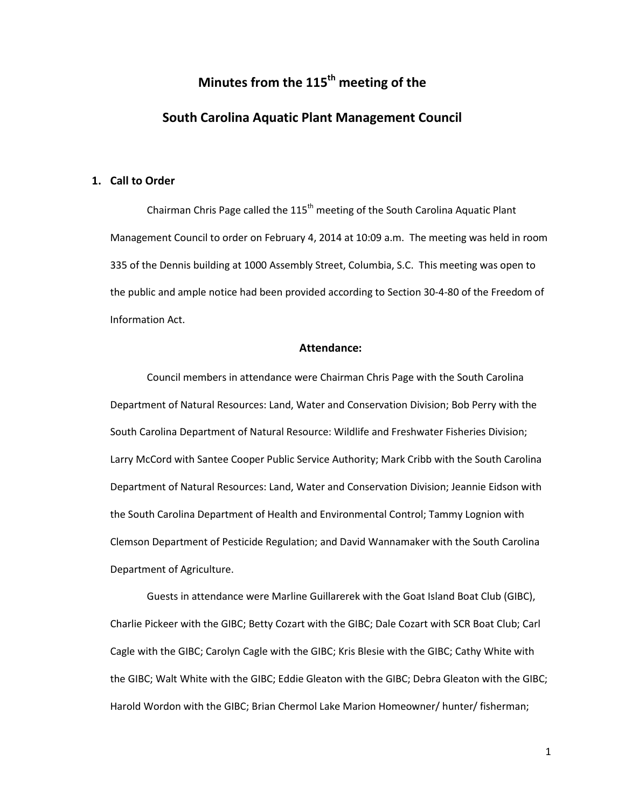# **Minutes from the 115th meeting of the**

# **South Carolina Aquatic Plant Management Council**

# **1. Call to Order**

Chairman Chris Page called the  $115<sup>th</sup>$  meeting of the South Carolina Aquatic Plant Management Council to order on February 4, 2014 at 10:09 a.m. The meeting was held in room 335 of the Dennis building at 1000 Assembly Street, Columbia, S.C. This meeting was open to the public and ample notice had been provided according to Section 30-4-80 of the Freedom of Information Act.

# **Attendance:**

Council members in attendance were Chairman Chris Page with the South Carolina Department of Natural Resources: Land, Water and Conservation Division; Bob Perry with the South Carolina Department of Natural Resource: Wildlife and Freshwater Fisheries Division; Larry McCord with Santee Cooper Public Service Authority; Mark Cribb with the South Carolina Department of Natural Resources: Land, Water and Conservation Division; Jeannie Eidson with the South Carolina Department of Health and Environmental Control; Tammy Lognion with Clemson Department of Pesticide Regulation; and David Wannamaker with the South Carolina Department of Agriculture.

Guests in attendance were Marline Guillarerek with the Goat Island Boat Club (GIBC), Charlie Pickeer with the GIBC; Betty Cozart with the GIBC; Dale Cozart with SCR Boat Club; Carl Cagle with the GIBC; Carolyn Cagle with the GIBC; Kris Blesie with the GIBC; Cathy White with the GIBC; Walt White with the GIBC; Eddie Gleaton with the GIBC; Debra Gleaton with the GIBC; Harold Wordon with the GIBC; Brian Chermol Lake Marion Homeowner/ hunter/ fisherman;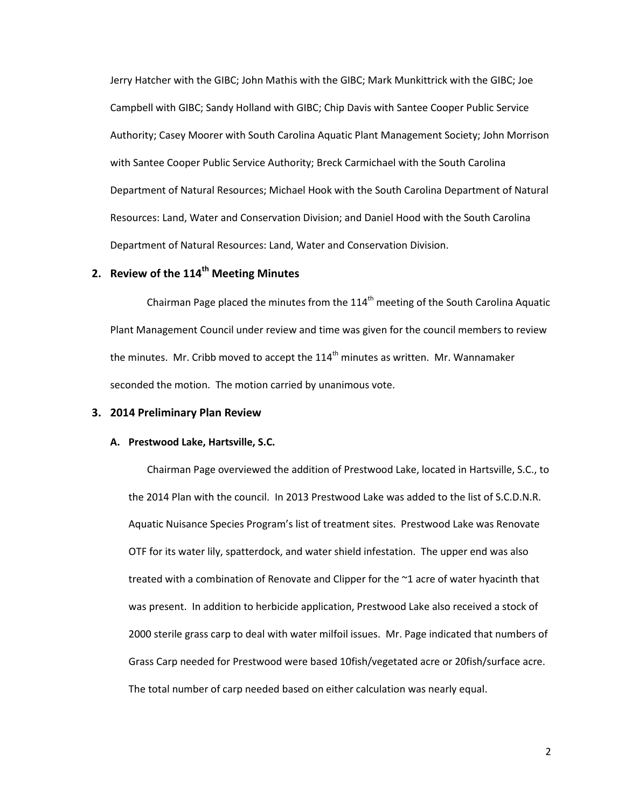Jerry Hatcher with the GIBC; John Mathis with the GIBC; Mark Munkittrick with the GIBC; Joe Campbell with GIBC; Sandy Holland with GIBC; Chip Davis with Santee Cooper Public Service Authority; Casey Moorer with South Carolina Aquatic Plant Management Society; John Morrison with Santee Cooper Public Service Authority; Breck Carmichael with the South Carolina Department of Natural Resources; Michael Hook with the South Carolina Department of Natural Resources: Land, Water and Conservation Division; and Daniel Hood with the South Carolina Department of Natural Resources: Land, Water and Conservation Division.

# **2. Review of the 114th Meeting Minutes**

Chairman Page placed the minutes from the  $114<sup>th</sup>$  meeting of the South Carolina Aquatic Plant Management Council under review and time was given for the council members to review the minutes. Mr. Cribb moved to accept the  $114<sup>th</sup>$  minutes as written. Mr. Wannamaker seconded the motion. The motion carried by unanimous vote.

# **3. 2014 Preliminary Plan Review**

#### **A. Prestwood Lake, Hartsville, S.C.**

Chairman Page overviewed the addition of Prestwood Lake, located in Hartsville, S.C., to the 2014 Plan with the council. In 2013 Prestwood Lake was added to the list of S.C.D.N.R. Aquatic Nuisance Species Program's list of treatment sites. Prestwood Lake was Renovate OTF for its water lily, spatterdock, and water shield infestation. The upper end was also treated with a combination of Renovate and Clipper for the ~1 acre of water hyacinth that was present. In addition to herbicide application, Prestwood Lake also received a stock of 2000 sterile grass carp to deal with water milfoil issues. Mr. Page indicated that numbers of Grass Carp needed for Prestwood were based 10fish/vegetated acre or 20fish/surface acre. The total number of carp needed based on either calculation was nearly equal.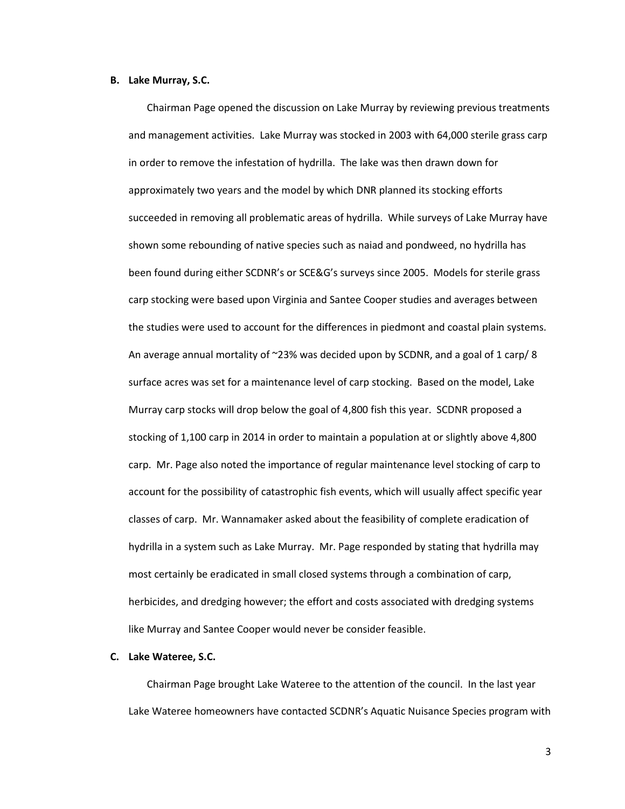#### **B. Lake Murray, S.C.**

Chairman Page opened the discussion on Lake Murray by reviewing previous treatments and management activities. Lake Murray was stocked in 2003 with 64,000 sterile grass carp in order to remove the infestation of hydrilla. The lake was then drawn down for approximately two years and the model by which DNR planned its stocking efforts succeeded in removing all problematic areas of hydrilla. While surveys of Lake Murray have shown some rebounding of native species such as naiad and pondweed, no hydrilla has been found during either SCDNR's or SCE&G's surveys since 2005. Models for sterile grass carp stocking were based upon Virginia and Santee Cooper studies and averages between the studies were used to account for the differences in piedmont and coastal plain systems. An average annual mortality of  $\approx$ 23% was decided upon by SCDNR, and a goal of 1 carp/8 surface acres was set for a maintenance level of carp stocking. Based on the model, Lake Murray carp stocks will drop below the goal of 4,800 fish this year. SCDNR proposed a stocking of 1,100 carp in 2014 in order to maintain a population at or slightly above 4,800 carp. Mr. Page also noted the importance of regular maintenance level stocking of carp to account for the possibility of catastrophic fish events, which will usually affect specific year classes of carp. Mr. Wannamaker asked about the feasibility of complete eradication of hydrilla in a system such as Lake Murray. Mr. Page responded by stating that hydrilla may most certainly be eradicated in small closed systems through a combination of carp, herbicides, and dredging however; the effort and costs associated with dredging systems like Murray and Santee Cooper would never be consider feasible.

# **C. Lake Wateree, S.C.**

Chairman Page brought Lake Wateree to the attention of the council. In the last year Lake Wateree homeowners have contacted SCDNR's Aquatic Nuisance Species program with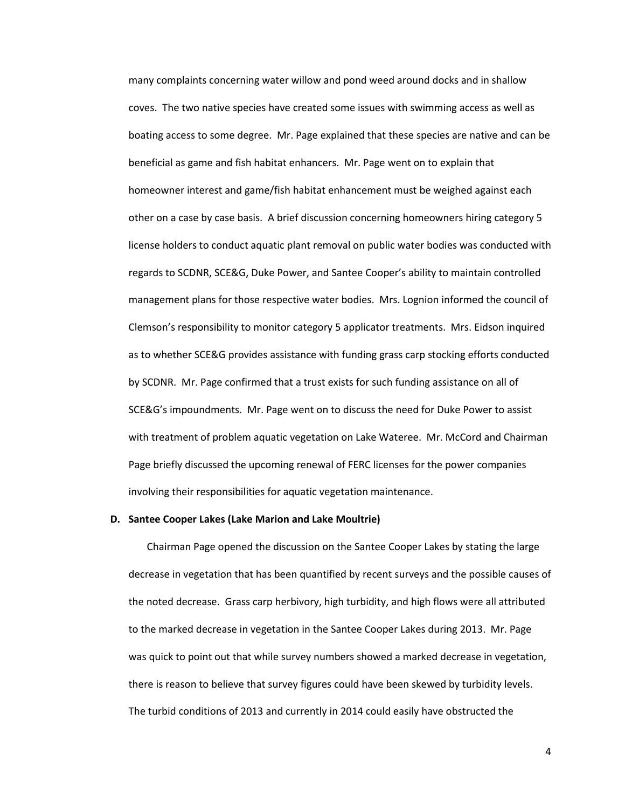many complaints concerning water willow and pond weed around docks and in shallow coves. The two native species have created some issues with swimming access as well as boating access to some degree. Mr. Page explained that these species are native and can be beneficial as game and fish habitat enhancers. Mr. Page went on to explain that homeowner interest and game/fish habitat enhancement must be weighed against each other on a case by case basis. A brief discussion concerning homeowners hiring category 5 license holders to conduct aquatic plant removal on public water bodies was conducted with regards to SCDNR, SCE&G, Duke Power, and Santee Cooper's ability to maintain controlled management plans for those respective water bodies. Mrs. Lognion informed the council of Clemson's responsibility to monitor category 5 applicator treatments. Mrs. Eidson inquired as to whether SCE&G provides assistance with funding grass carp stocking efforts conducted by SCDNR. Mr. Page confirmed that a trust exists for such funding assistance on all of SCE&G's impoundments. Mr. Page went on to discuss the need for Duke Power to assist with treatment of problem aquatic vegetation on Lake Wateree. Mr. McCord and Chairman Page briefly discussed the upcoming renewal of FERC licenses for the power companies involving their responsibilities for aquatic vegetation maintenance.

#### **D. Santee Cooper Lakes (Lake Marion and Lake Moultrie)**

Chairman Page opened the discussion on the Santee Cooper Lakes by stating the large decrease in vegetation that has been quantified by recent surveys and the possible causes of the noted decrease. Grass carp herbivory, high turbidity, and high flows were all attributed to the marked decrease in vegetation in the Santee Cooper Lakes during 2013. Mr. Page was quick to point out that while survey numbers showed a marked decrease in vegetation, there is reason to believe that survey figures could have been skewed by turbidity levels. The turbid conditions of 2013 and currently in 2014 could easily have obstructed the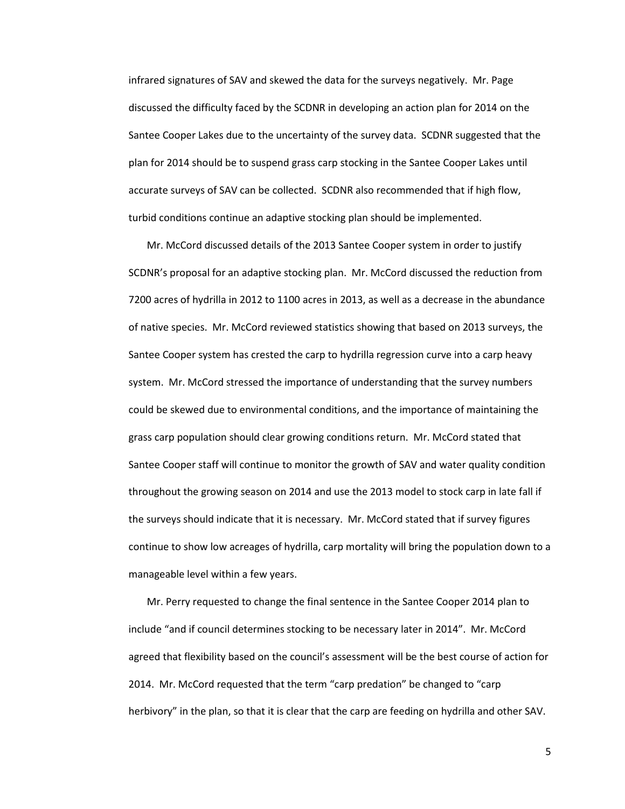infrared signatures of SAV and skewed the data for the surveys negatively. Mr. Page discussed the difficulty faced by the SCDNR in developing an action plan for 2014 on the Santee Cooper Lakes due to the uncertainty of the survey data. SCDNR suggested that the plan for 2014 should be to suspend grass carp stocking in the Santee Cooper Lakes until accurate surveys of SAV can be collected. SCDNR also recommended that if high flow, turbid conditions continue an adaptive stocking plan should be implemented.

Mr. McCord discussed details of the 2013 Santee Cooper system in order to justify SCDNR's proposal for an adaptive stocking plan. Mr. McCord discussed the reduction from 7200 acres of hydrilla in 2012 to 1100 acres in 2013, as well as a decrease in the abundance of native species. Mr. McCord reviewed statistics showing that based on 2013 surveys, the Santee Cooper system has crested the carp to hydrilla regression curve into a carp heavy system. Mr. McCord stressed the importance of understanding that the survey numbers could be skewed due to environmental conditions, and the importance of maintaining the grass carp population should clear growing conditions return. Mr. McCord stated that Santee Cooper staff will continue to monitor the growth of SAV and water quality condition throughout the growing season on 2014 and use the 2013 model to stock carp in late fall if the surveys should indicate that it is necessary. Mr. McCord stated that if survey figures continue to show low acreages of hydrilla, carp mortality will bring the population down to a manageable level within a few years.

Mr. Perry requested to change the final sentence in the Santee Cooper 2014 plan to include "and if council determines stocking to be necessary later in 2014". Mr. McCord agreed that flexibility based on the council's assessment will be the best course of action for 2014. Mr. McCord requested that the term "carp predation" be changed to "carp herbivory" in the plan, so that it is clear that the carp are feeding on hydrilla and other SAV.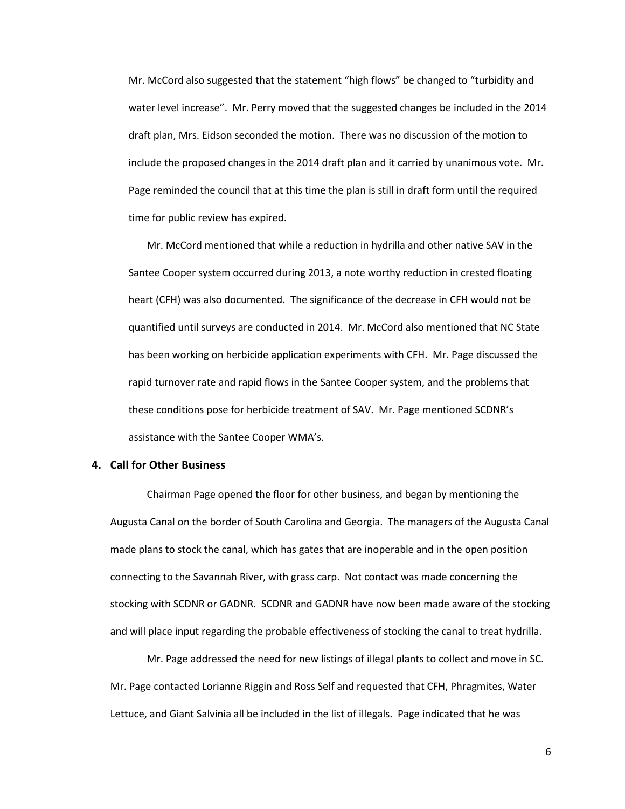Mr. McCord also suggested that the statement "high flows" be changed to "turbidity and water level increase". Mr. Perry moved that the suggested changes be included in the 2014 draft plan, Mrs. Eidson seconded the motion. There was no discussion of the motion to include the proposed changes in the 2014 draft plan and it carried by unanimous vote. Mr. Page reminded the council that at this time the plan is still in draft form until the required time for public review has expired.

Mr. McCord mentioned that while a reduction in hydrilla and other native SAV in the Santee Cooper system occurred during 2013, a note worthy reduction in crested floating heart (CFH) was also documented. The significance of the decrease in CFH would not be quantified until surveys are conducted in 2014. Mr. McCord also mentioned that NC State has been working on herbicide application experiments with CFH. Mr. Page discussed the rapid turnover rate and rapid flows in the Santee Cooper system, and the problems that these conditions pose for herbicide treatment of SAV. Mr. Page mentioned SCDNR's assistance with the Santee Cooper WMA's.

# **4. Call for Other Business**

Chairman Page opened the floor for other business, and began by mentioning the Augusta Canal on the border of South Carolina and Georgia. The managers of the Augusta Canal made plans to stock the canal, which has gates that are inoperable and in the open position connecting to the Savannah River, with grass carp. Not contact was made concerning the stocking with SCDNR or GADNR. SCDNR and GADNR have now been made aware of the stocking and will place input regarding the probable effectiveness of stocking the canal to treat hydrilla.

Mr. Page addressed the need for new listings of illegal plants to collect and move in SC. Mr. Page contacted Lorianne Riggin and Ross Self and requested that CFH, Phragmites, Water Lettuce, and Giant Salvinia all be included in the list of illegals. Page indicated that he was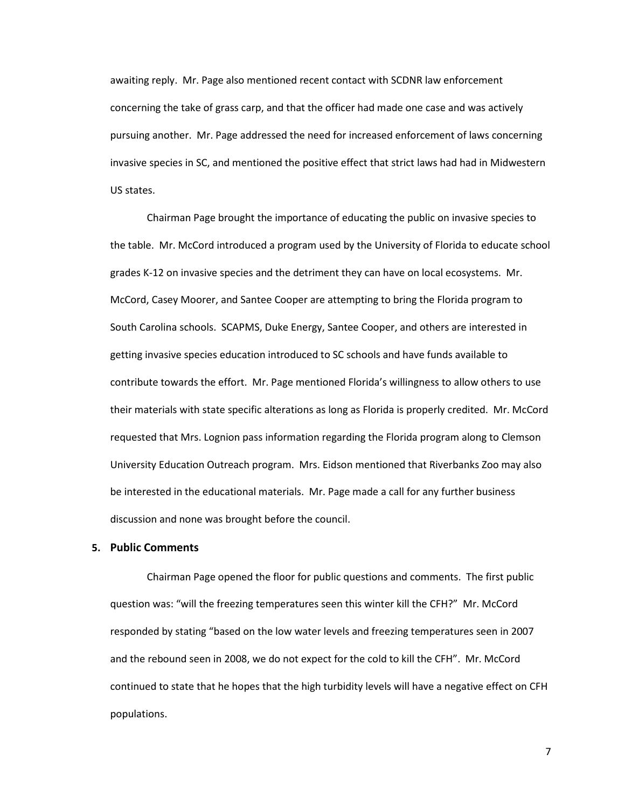awaiting reply. Mr. Page also mentioned recent contact with SCDNR law enforcement concerning the take of grass carp, and that the officer had made one case and was actively pursuing another. Mr. Page addressed the need for increased enforcement of laws concerning invasive species in SC, and mentioned the positive effect that strict laws had had in Midwestern US states.

Chairman Page brought the importance of educating the public on invasive species to the table. Mr. McCord introduced a program used by the University of Florida to educate school grades K-12 on invasive species and the detriment they can have on local ecosystems. Mr. McCord, Casey Moorer, and Santee Cooper are attempting to bring the Florida program to South Carolina schools. SCAPMS, Duke Energy, Santee Cooper, and others are interested in getting invasive species education introduced to SC schools and have funds available to contribute towards the effort. Mr. Page mentioned Florida's willingness to allow others to use their materials with state specific alterations as long as Florida is properly credited. Mr. McCord requested that Mrs. Lognion pass information regarding the Florida program along to Clemson University Education Outreach program. Mrs. Eidson mentioned that Riverbanks Zoo may also be interested in the educational materials. Mr. Page made a call for any further business discussion and none was brought before the council.

#### **5. Public Comments**

Chairman Page opened the floor for public questions and comments. The first public question was: "will the freezing temperatures seen this winter kill the CFH?" Mr. McCord responded by stating "based on the low water levels and freezing temperatures seen in 2007 and the rebound seen in 2008, we do not expect for the cold to kill the CFH". Mr. McCord continued to state that he hopes that the high turbidity levels will have a negative effect on CFH populations.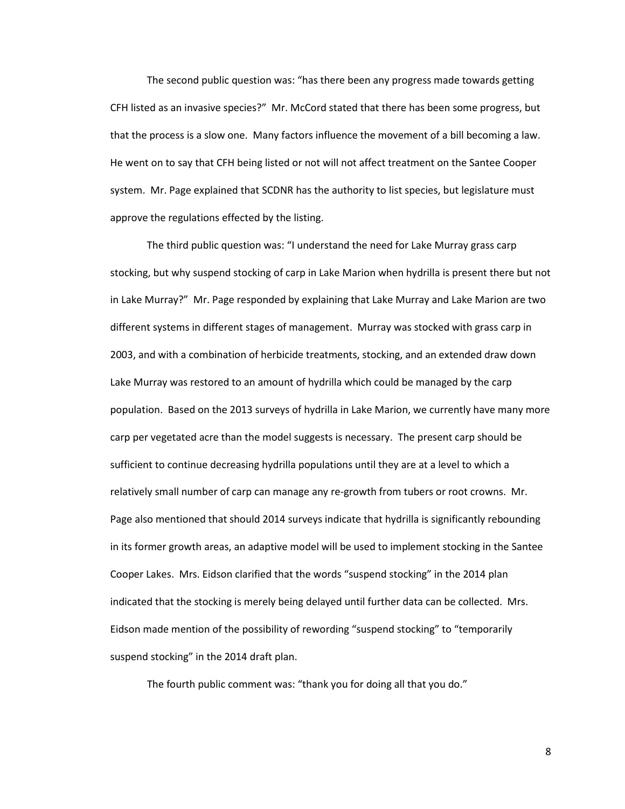The second public question was: "has there been any progress made towards getting CFH listed as an invasive species?" Mr. McCord stated that there has been some progress, but that the process is a slow one. Many factors influence the movement of a bill becoming a law. He went on to say that CFH being listed or not will not affect treatment on the Santee Cooper system. Mr. Page explained that SCDNR has the authority to list species, but legislature must approve the regulations effected by the listing.

The third public question was: "I understand the need for Lake Murray grass carp stocking, but why suspend stocking of carp in Lake Marion when hydrilla is present there but not in Lake Murray?" Mr. Page responded by explaining that Lake Murray and Lake Marion are two different systems in different stages of management. Murray was stocked with grass carp in 2003, and with a combination of herbicide treatments, stocking, and an extended draw down Lake Murray was restored to an amount of hydrilla which could be managed by the carp population. Based on the 2013 surveys of hydrilla in Lake Marion, we currently have many more carp per vegetated acre than the model suggests is necessary. The present carp should be sufficient to continue decreasing hydrilla populations until they are at a level to which a relatively small number of carp can manage any re-growth from tubers or root crowns. Mr. Page also mentioned that should 2014 surveys indicate that hydrilla is significantly rebounding in its former growth areas, an adaptive model will be used to implement stocking in the Santee Cooper Lakes. Mrs. Eidson clarified that the words "suspend stocking" in the 2014 plan indicated that the stocking is merely being delayed until further data can be collected. Mrs. Eidson made mention of the possibility of rewording "suspend stocking" to "temporarily suspend stocking" in the 2014 draft plan.

The fourth public comment was: "thank you for doing all that you do."